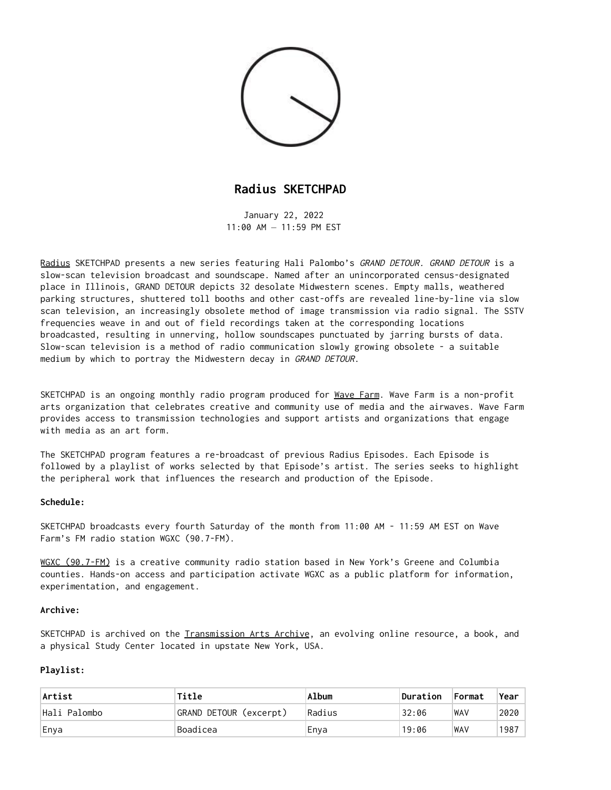

## **Radius SKETCHPAD**

January 22, 2022  $11:00$  AM  $-11:59$  PM FST

Radius SKETCHPAD presents a new series featuring Hali Palombo's GRAND DETOUR. GRAND DETOUR is a slow-scan television broadcast and soundscape. Named after an unincorporated census-designated place in Illinois, GRAND DETOUR depicts 32 desolate Midwestern scenes. Empty malls, weathered parking structures, shuttered toll booths and other cast-offs are revealed line-by-line via slow scan television, an increasingly obsolete method of image transmission via radio signal. The SSTV frequencies weave in and out of field recordings taken at the corresponding locations broadcasted, resulting in unnerving, hollow soundscapes punctuated by jarring bursts of data. Slow-scan television is a method of radio communication slowly growing obsolete - a suitable medium by which to portray the Midwestern decay in GRAND DETOUR.

SKETCHPAD is an ongoing monthly radio program produced for Wave Farm. Wave Farm is a non-profit arts organization that celebrates creative and community use of media and the airwaves. Wave Farm provides access to transmission technologies and support artists and organizations that engage with media as an art form.

The SKETCHPAD program features a re-broadcast of previous Radius Episodes. Each Episode is followed by a playlist of works selected by that Episode's artist. The series seeks to highlight the peripheral work that influences the research and production of the Episode.

## **Schedule:**

SKETCHPAD broadcasts every fourth Saturday of the month from 11:00 AM - 11:59 AM EST on Wave Farm's FM radio station WGXC (90.7-FM).

WGXC [\(90.7-FM\)](http://www.wgxc.org/#_blank) is a creative community radio station based in New York's Greene and Columbia counties. Hands-on access and participation activate WGXC as a public platform for information, experimentation, and engagement.

## **Archive:**

SKETCHPAD is archived on the Iransmission Arts Archive, an evolving online resource, a book, and a physical Study Center located in upstate New York, USA.

## **Playlist:**

| Artist       | Title                  | Album  | Duration | Format     | <b>Year</b> |
|--------------|------------------------|--------|----------|------------|-------------|
| Hali Palombo | GRAND DETOUR (excerpt) | Radius | 32:06    | <b>WAV</b> | 2020        |
| Enya         | Boadicea               | Enya   | 19:06    | <b>WAV</b> | 1987        |